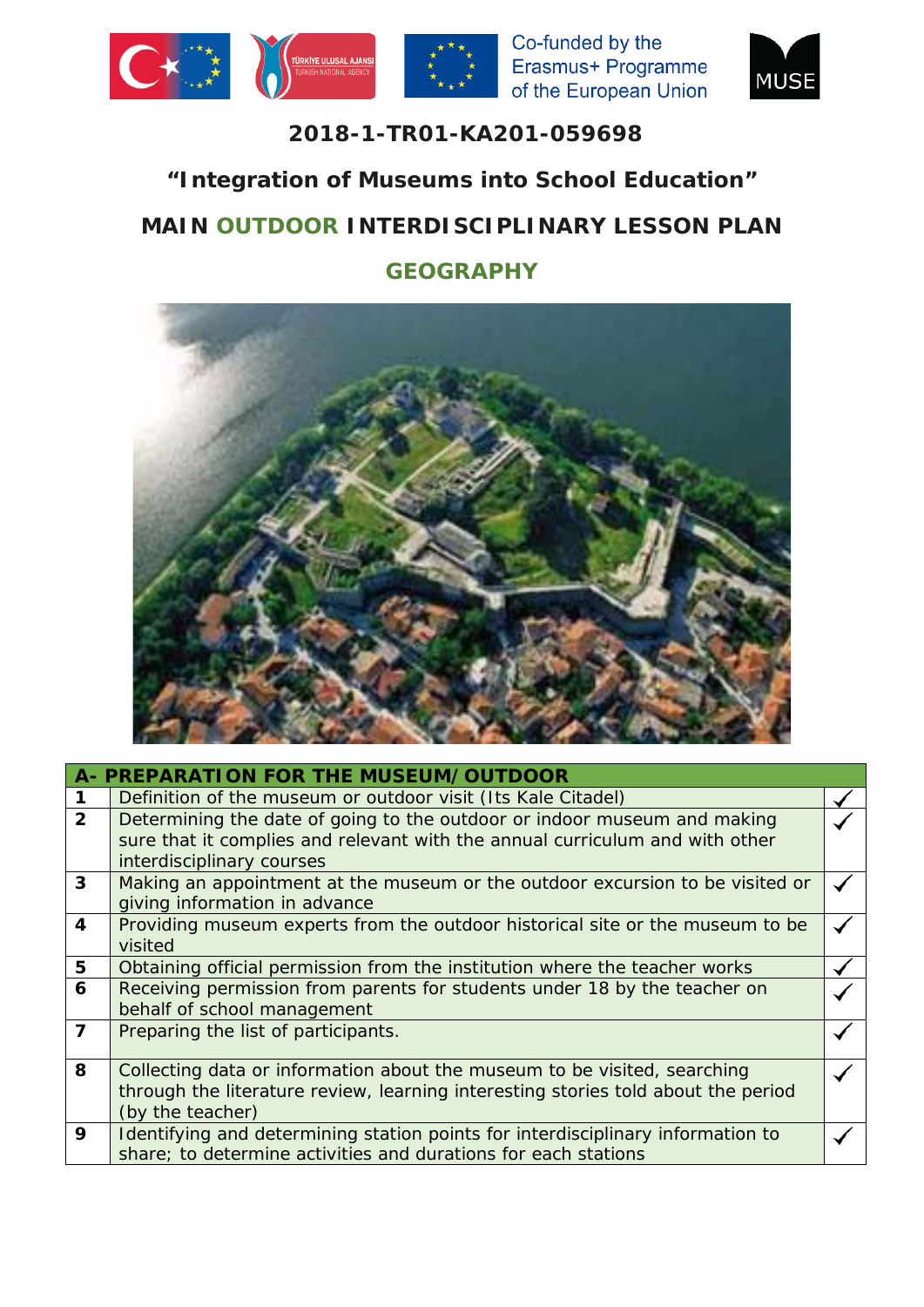





### **2018-1-TR01-KA201-059698**

## **"Integration of Museums into School Education"**

# **MAIN OUTDOOR INTERDISCIPLINARY LESSON PLAN**

### **GEOGRAPHY**



| A- PREPARATION FOR THE MUSEUM/OUTDOOR |                                                                                   |  |  |  |
|---------------------------------------|-----------------------------------------------------------------------------------|--|--|--|
| 1                                     | Definition of the museum or outdoor visit (Its Kale Citadel)                      |  |  |  |
| $\overline{2}$                        | Determining the date of going to the outdoor or indoor museum and making          |  |  |  |
|                                       | sure that it complies and relevant with the annual curriculum and with other      |  |  |  |
|                                       | interdisciplinary courses                                                         |  |  |  |
| $\overline{3}$                        | Making an appointment at the museum or the outdoor excursion to be visited or     |  |  |  |
|                                       | giving information in advance                                                     |  |  |  |
| 4                                     | Providing museum experts from the outdoor historical site or the museum to be     |  |  |  |
|                                       | visited                                                                           |  |  |  |
| 5                                     | Obtaining official permission from the institution where the teacher works        |  |  |  |
| 6                                     | Receiving permission from parents for students under 18 by the teacher on         |  |  |  |
|                                       | behalf of school management                                                       |  |  |  |
| $\overline{\mathbf{z}}$               | Preparing the list of participants.                                               |  |  |  |
|                                       |                                                                                   |  |  |  |
| 8                                     | Collecting data or information about the museum to be visited, searching          |  |  |  |
|                                       | through the literature review, learning interesting stories told about the period |  |  |  |
|                                       | (by the teacher)                                                                  |  |  |  |
| 9                                     | Identifying and determining station points for interdisciplinary information to   |  |  |  |
|                                       | share; to determine activities and durations for each stations                    |  |  |  |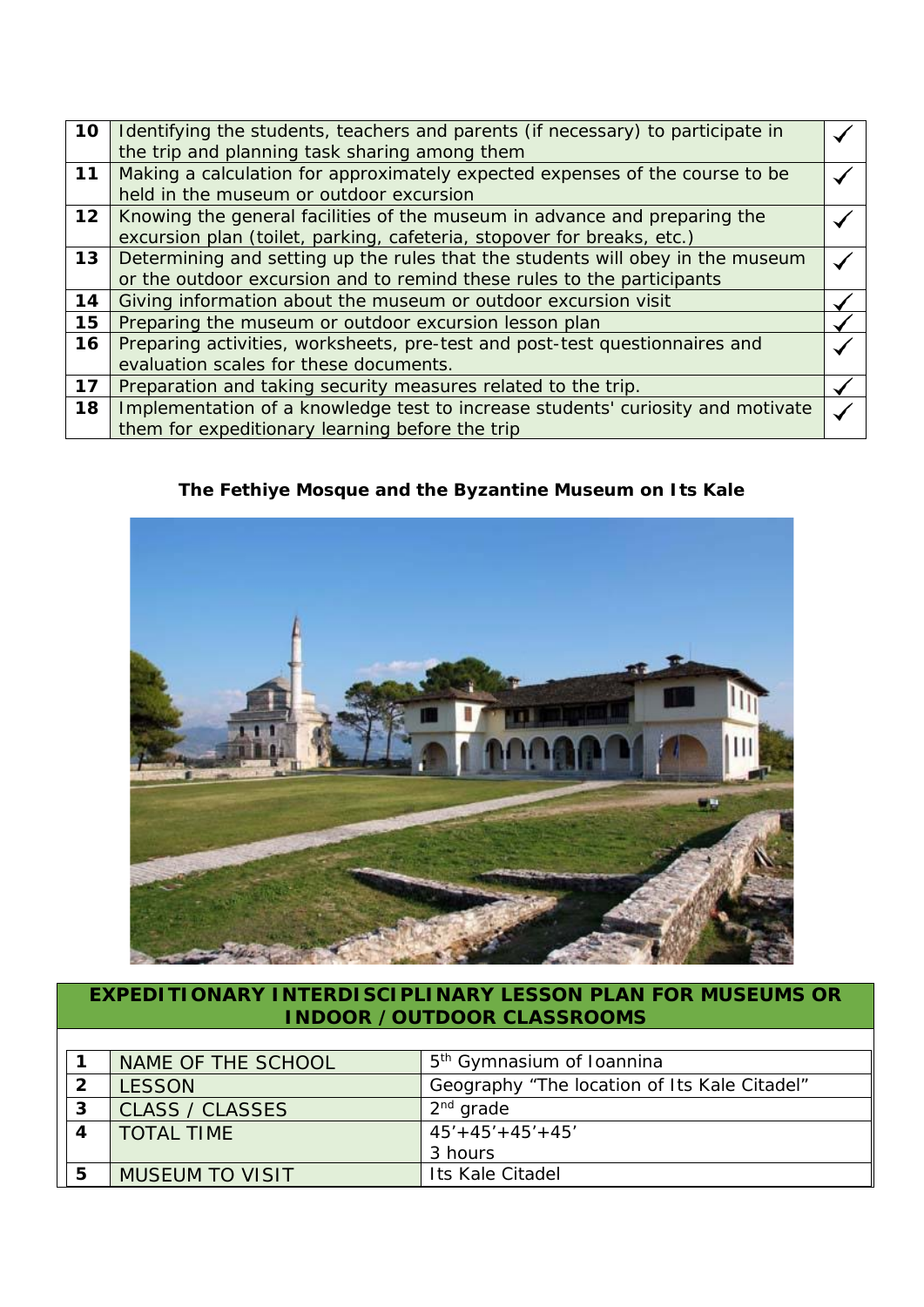| 10              | Identifying the students, teachers and parents (if necessary) to participate in |  |
|-----------------|---------------------------------------------------------------------------------|--|
|                 | the trip and planning task sharing among them                                   |  |
| 11              | Making a calculation for approximately expected expenses of the course to be    |  |
|                 | held in the museum or outdoor excursion                                         |  |
| 12 <sub>2</sub> | Knowing the general facilities of the museum in advance and preparing the       |  |
|                 | excursion plan (toilet, parking, cafeteria, stopover for breaks, etc.)          |  |
| 13              | Determining and setting up the rules that the students will obey in the museum  |  |
|                 | or the outdoor excursion and to remind these rules to the participants          |  |
| 14              | Giving information about the museum or outdoor excursion visit                  |  |
| 15              | Preparing the museum or outdoor excursion lesson plan                           |  |
| 16              | Preparing activities, worksheets, pre-test and post-test questionnaires and     |  |
|                 | evaluation scales for these documents.                                          |  |
| 17              | Preparation and taking security measures related to the trip.                   |  |
| 18              | Implementation of a knowledge test to increase students' curiosity and motivate |  |
|                 | them for expeditionary learning before the trip                                 |  |

#### **The Fethiye Mosque and the Byzantine Museum on Its Kale**



**EXPEDITIONARY INTERDISCIPLINARY LESSON PLAN FOR MUSEUMS OR INDOOR /OUTDOOR CLASSROOMS**

|   | NAME OF THE SCHOOL     | 5 <sup>th</sup> Gymnasium of Ioannina        |
|---|------------------------|----------------------------------------------|
|   | <b>LESSON</b>          | Geography "The location of Its Kale Citadel" |
| 3 | <b>CLASS / CLASSES</b> | $2nd$ grade                                  |
|   | <b>TOTAL TIME</b>      | $45' + 45' + 45' + 45'$                      |
|   |                        | 3 hours                                      |
| 5 | <b>MUSEUM TO VISIT</b> | Its Kale Citadel                             |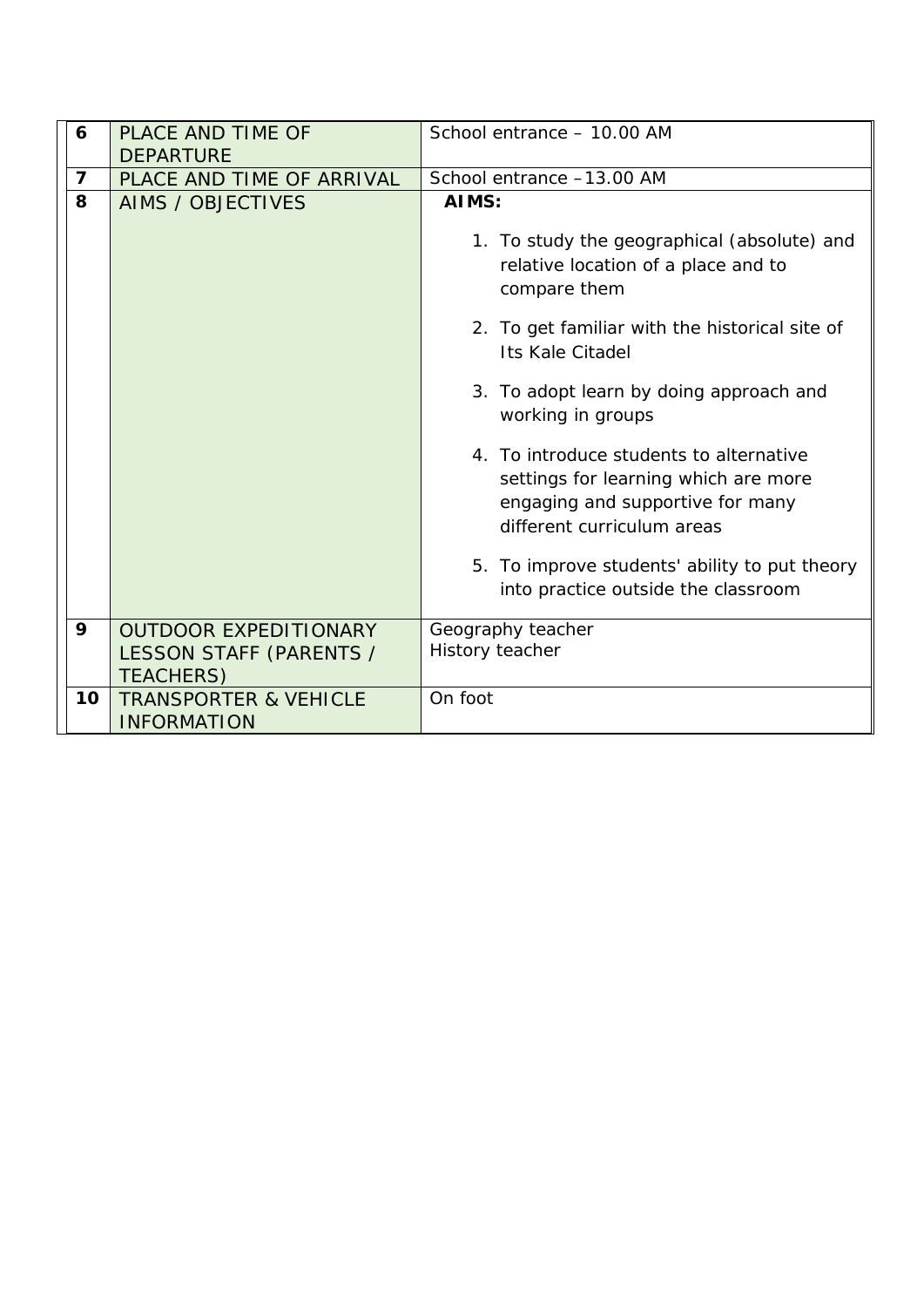| 6                       | PLACE AND TIME OF                                       | School entrance - 10.00 AM                                                                                                                        |
|-------------------------|---------------------------------------------------------|---------------------------------------------------------------------------------------------------------------------------------------------------|
|                         | <b>DEPARTURE</b>                                        |                                                                                                                                                   |
| $\overline{\mathbf{z}}$ | PLACE AND TIME OF ARRIVAL                               | School entrance -13.00 AM                                                                                                                         |
| 8                       | <b>AIMS / OBJECTIVES</b>                                | AIMS:                                                                                                                                             |
|                         |                                                         | 1. To study the geographical (absolute) and<br>relative location of a place and to<br>compare them                                                |
|                         |                                                         | 2. To get familiar with the historical site of<br><b>Its Kale Citadel</b>                                                                         |
|                         |                                                         | 3. To adopt learn by doing approach and<br>working in groups                                                                                      |
|                         |                                                         | 4. To introduce students to alternative<br>settings for learning which are more<br>engaging and supportive for many<br>different curriculum areas |
|                         |                                                         | 5. To improve students' ability to put theory<br>into practice outside the classroom                                                              |
| 9                       | <b>OUTDOOR EXPEDITIONARY</b><br>LESSON STAFF (PARENTS / | Geography teacher<br>History teacher                                                                                                              |
|                         | <b>TEACHERS)</b>                                        |                                                                                                                                                   |
| 10                      | <b>TRANSPORTER &amp; VEHICLE</b><br><b>INFORMATION</b>  | On foot                                                                                                                                           |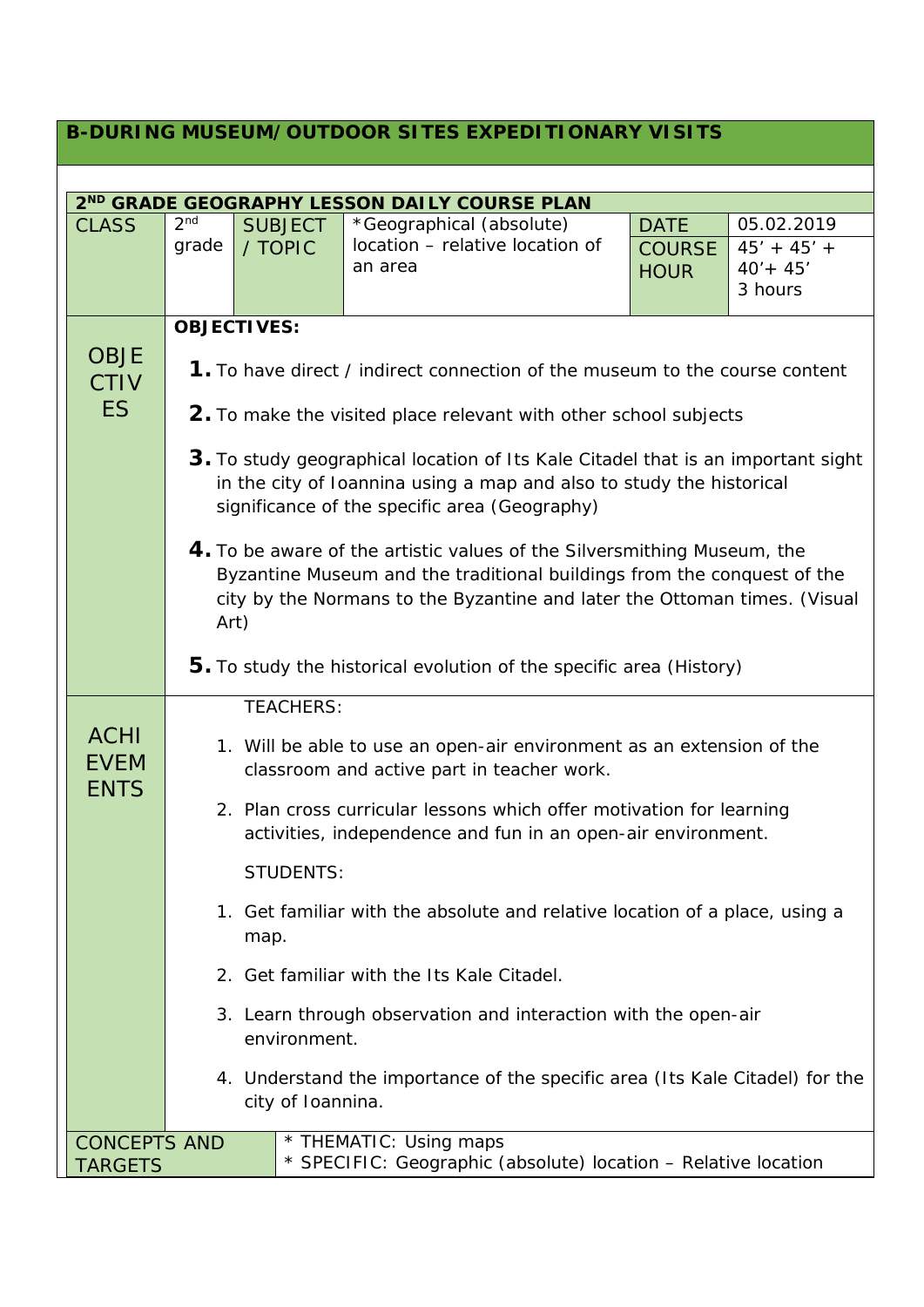| <b>B-DURING MUSEUM/OUTDOOR SITES EXPEDITIONARY VISITS</b>                   |                                                                                                                                                                                                                                         |                           |                                                                                          |                                             |                                                       |  |
|-----------------------------------------------------------------------------|-----------------------------------------------------------------------------------------------------------------------------------------------------------------------------------------------------------------------------------------|---------------------------|------------------------------------------------------------------------------------------|---------------------------------------------|-------------------------------------------------------|--|
|                                                                             |                                                                                                                                                                                                                                         |                           |                                                                                          |                                             |                                                       |  |
| 2 <sup>ND</sup> GRADE GEOGRAPHY LESSON DAILY COURSE PLAN<br>2 <sub>nd</sub> |                                                                                                                                                                                                                                         |                           |                                                                                          |                                             |                                                       |  |
| <b>CLASS</b>                                                                | grade                                                                                                                                                                                                                                   | <b>SUBJECT</b><br>/ TOPIC | *Geographical (absolute)<br>location - relative location of<br>an area                   | <b>DATE</b><br><b>COURSE</b><br><b>HOUR</b> | 05.02.2019<br>$45' + 45' +$<br>$40' + 45'$<br>3 hours |  |
|                                                                             |                                                                                                                                                                                                                                         | <b>OBJECTIVES:</b>        |                                                                                          |                                             |                                                       |  |
| <b>OBJE</b><br><b>CTIV</b>                                                  | 1. To have direct / indirect connection of the museum to the course content                                                                                                                                                             |                           |                                                                                          |                                             |                                                       |  |
| ES<br>2. To make the visited place relevant with other school subjects      |                                                                                                                                                                                                                                         |                           |                                                                                          |                                             |                                                       |  |
|                                                                             | 3. To study geographical location of Its Kale Citadel that is an important sight<br>in the city of Ioannina using a map and also to study the historical<br>significance of the specific area (Geography)                               |                           |                                                                                          |                                             |                                                       |  |
|                                                                             | 4. To be aware of the artistic values of the Silversmithing Museum, the<br>Byzantine Museum and the traditional buildings from the conquest of the<br>city by the Normans to the Byzantine and later the Ottoman times. (Visual<br>Art) |                           |                                                                                          |                                             |                                                       |  |
|                                                                             | 5. To study the historical evolution of the specific area (History)                                                                                                                                                                     |                           |                                                                                          |                                             |                                                       |  |
| <b>TEACHERS:</b>                                                            |                                                                                                                                                                                                                                         |                           |                                                                                          |                                             |                                                       |  |
| <b>ACHI</b><br><b>EVEM</b>                                                  | 1. Will be able to use an open-air environment as an extension of the<br>classroom and active part in teacher work.                                                                                                                     |                           |                                                                                          |                                             |                                                       |  |
|                                                                             | <b>ENTS</b><br>2. Plan cross curricular lessons which offer motivation for learning<br>activities, independence and fun in an open-air environment.                                                                                     |                           |                                                                                          |                                             |                                                       |  |
|                                                                             | <b>STUDENTS:</b>                                                                                                                                                                                                                        |                           |                                                                                          |                                             |                                                       |  |
|                                                                             | 1. Get familiar with the absolute and relative location of a place, using a<br>map.                                                                                                                                                     |                           |                                                                                          |                                             |                                                       |  |
|                                                                             | Get familiar with the Its Kale Citadel.<br>2 <sub>1</sub>                                                                                                                                                                               |                           |                                                                                          |                                             |                                                       |  |
|                                                                             | 3. Learn through observation and interaction with the open-air<br>environment.                                                                                                                                                          |                           |                                                                                          |                                             |                                                       |  |
|                                                                             | 4. Understand the importance of the specific area (Its Kale Citadel) for the<br>city of Ioannina.                                                                                                                                       |                           |                                                                                          |                                             |                                                       |  |
| <b>CONCEPTS AND</b><br><b>TARGETS</b>                                       |                                                                                                                                                                                                                                         |                           | * THEMATIC: Using maps<br>* SPECIFIC: Geographic (absolute) location - Relative location |                                             |                                                       |  |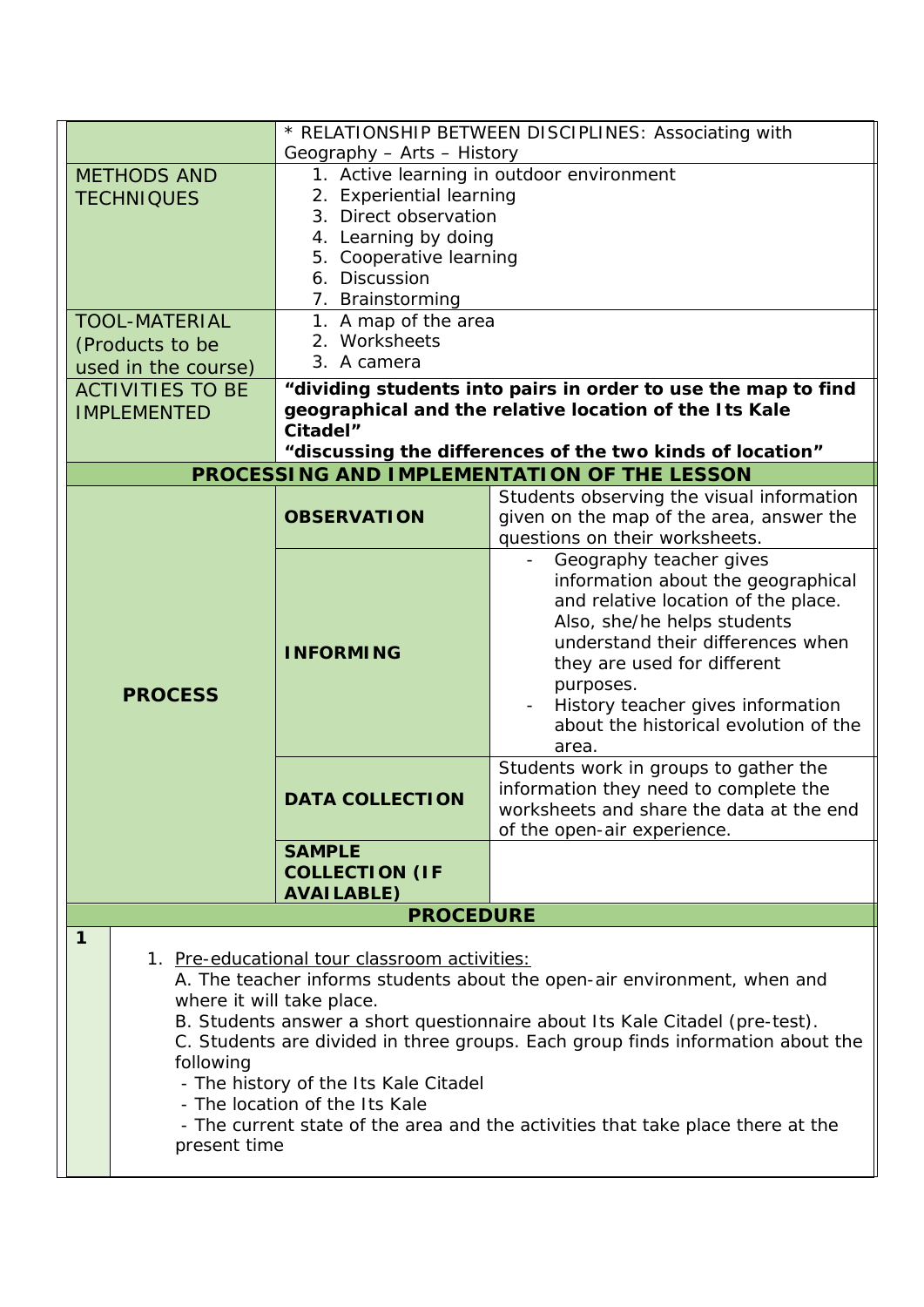|                                                                                 | * RELATIONSHIP BETWEEN DISCIPLINES: Associating with                                         |                                                               |  |  |  |
|---------------------------------------------------------------------------------|----------------------------------------------------------------------------------------------|---------------------------------------------------------------|--|--|--|
|                                                                                 |                                                                                              | Geography - Arts - History                                    |  |  |  |
| <b>METHODS AND</b>                                                              |                                                                                              | 1. Active learning in outdoor environment                     |  |  |  |
| <b>TECHNIQUES</b>                                                               | 2. Experiential learning                                                                     |                                                               |  |  |  |
|                                                                                 | 3. Direct observation                                                                        |                                                               |  |  |  |
|                                                                                 | 4. Learning by doing                                                                         |                                                               |  |  |  |
|                                                                                 | 5. Cooperative learning                                                                      |                                                               |  |  |  |
|                                                                                 | 6. Discussion<br>7. Brainstorming                                                            |                                                               |  |  |  |
| <b>TOOL-MATERIAL</b>                                                            | 1. A map of the area                                                                         |                                                               |  |  |  |
| (Products to be                                                                 | 2. Worksheets                                                                                |                                                               |  |  |  |
| used in the course)                                                             | 3. A camera                                                                                  |                                                               |  |  |  |
| <b>ACTIVITIES TO BE</b>                                                         |                                                                                              | "dividing students into pairs in order to use the map to find |  |  |  |
| <b>IMPLEMENTED</b>                                                              |                                                                                              | geographical and the relative location of the Its Kale        |  |  |  |
|                                                                                 | Citadel"                                                                                     |                                                               |  |  |  |
|                                                                                 |                                                                                              | "discussing the differences of the two kinds of location"     |  |  |  |
|                                                                                 |                                                                                              | PROCESSING AND IMPLEMENTATION OF THE LESSON                   |  |  |  |
|                                                                                 |                                                                                              | Students observing the visual information                     |  |  |  |
|                                                                                 | <b>OBSERVATION</b>                                                                           | given on the map of the area, answer the                      |  |  |  |
|                                                                                 |                                                                                              | questions on their worksheets.                                |  |  |  |
|                                                                                 |                                                                                              | Geography teacher gives<br>information about the geographical |  |  |  |
|                                                                                 |                                                                                              | and relative location of the place.                           |  |  |  |
|                                                                                 |                                                                                              | Also, she/he helps students                                   |  |  |  |
|                                                                                 | <b>INFORMING</b>                                                                             | understand their differences when                             |  |  |  |
|                                                                                 |                                                                                              | they are used for different                                   |  |  |  |
| <b>PROCESS</b>                                                                  |                                                                                              | purposes.                                                     |  |  |  |
|                                                                                 |                                                                                              | History teacher gives information                             |  |  |  |
|                                                                                 |                                                                                              | about the historical evolution of the<br>area.                |  |  |  |
|                                                                                 |                                                                                              | Students work in groups to gather the                         |  |  |  |
|                                                                                 |                                                                                              | information they need to complete the                         |  |  |  |
|                                                                                 | <b>DATA COLLECTION</b>                                                                       | worksheets and share the data at the end                      |  |  |  |
|                                                                                 |                                                                                              | of the open-air experience.                                   |  |  |  |
|                                                                                 | <b>SAMPLE</b>                                                                                |                                                               |  |  |  |
|                                                                                 | <b>COLLECTION (IF</b><br><b>AVAILABLE)</b>                                                   |                                                               |  |  |  |
|                                                                                 | <b>PROCEDURE</b>                                                                             |                                                               |  |  |  |
| $\mathbf{1}$                                                                    |                                                                                              |                                                               |  |  |  |
|                                                                                 | 1. Pre-educational tour classroom activities:                                                |                                                               |  |  |  |
|                                                                                 | A. The teacher informs students about the open-air environment, when and                     |                                                               |  |  |  |
|                                                                                 | where it will take place.                                                                    |                                                               |  |  |  |
| B. Students answer a short questionnaire about Its Kale Citadel (pre-test).     |                                                                                              |                                                               |  |  |  |
|                                                                                 | C. Students are divided in three groups. Each group finds information about the<br>following |                                                               |  |  |  |
| - The history of the Its Kale Citadel                                           |                                                                                              |                                                               |  |  |  |
| - The location of the Its Kale                                                  |                                                                                              |                                                               |  |  |  |
| - The current state of the area and the activities that take place there at the |                                                                                              |                                                               |  |  |  |
| present time                                                                    |                                                                                              |                                                               |  |  |  |
|                                                                                 |                                                                                              |                                                               |  |  |  |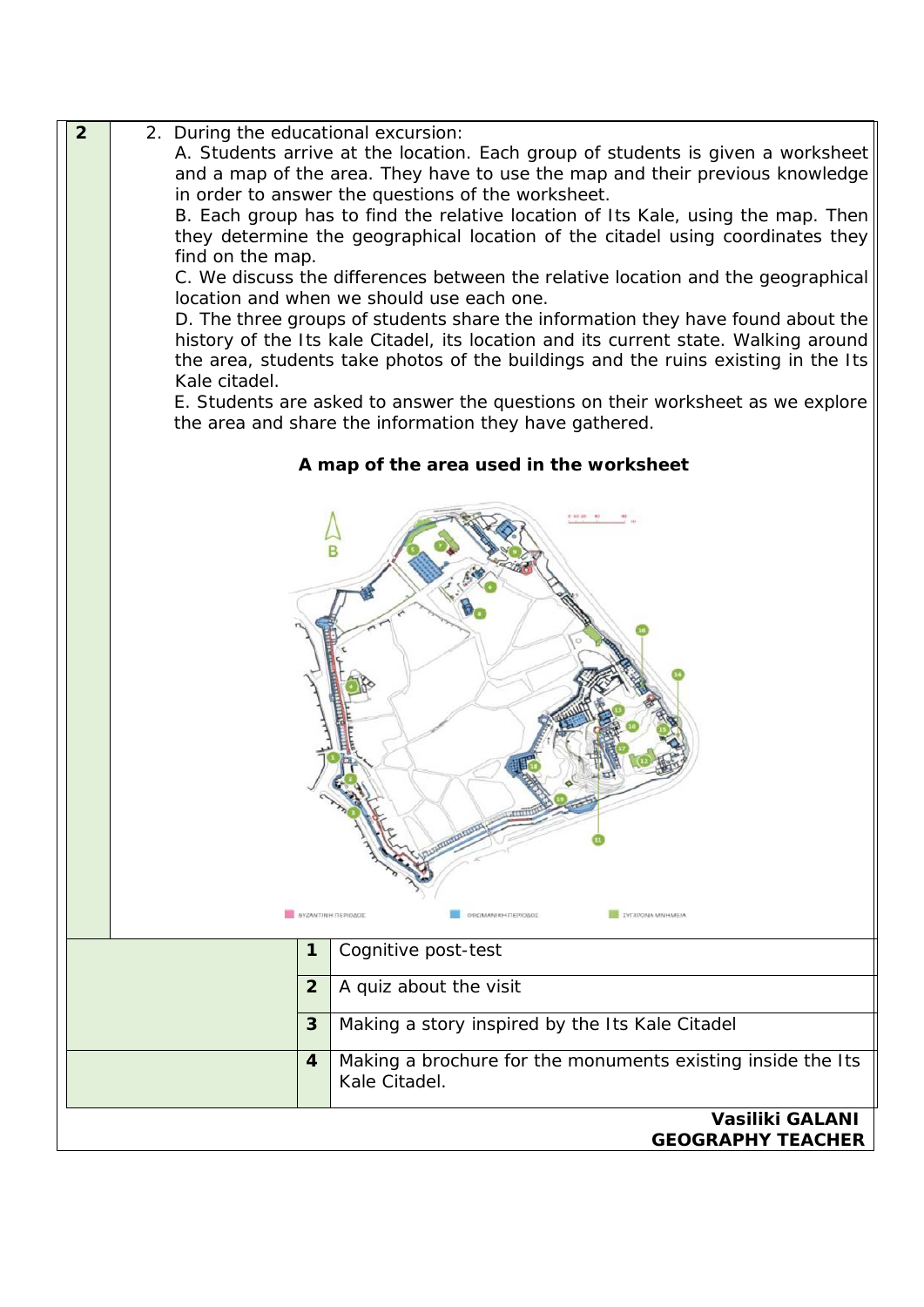| $\overline{2}$                                                              | 2. During the educational excursion:<br>A. Students arrive at the location. Each group of students is given a worksheet<br>and a map of the area. They have to use the map and their previous knowledge<br>in order to answer the questions of the worksheet.<br>B. Each group has to find the relative location of Its Kale, using the map. Then<br>they determine the geographical location of the citadel using coordinates they<br>find on the map.<br>C. We discuss the differences between the relative location and the geographical<br>location and when we should use each one.<br>D. The three groups of students share the information they have found about the<br>history of the Its kale Citadel, its location and its current state. Walking around<br>the area, students take photos of the buildings and the ruins existing in the Its<br>Kale citadel.<br>E. Students are asked to answer the questions on their worksheet as we explore<br>the area and share the information they have gathered. |                                                                              |  |  |  |
|-----------------------------------------------------------------------------|----------------------------------------------------------------------------------------------------------------------------------------------------------------------------------------------------------------------------------------------------------------------------------------------------------------------------------------------------------------------------------------------------------------------------------------------------------------------------------------------------------------------------------------------------------------------------------------------------------------------------------------------------------------------------------------------------------------------------------------------------------------------------------------------------------------------------------------------------------------------------------------------------------------------------------------------------------------------------------------------------------------------|------------------------------------------------------------------------------|--|--|--|
|                                                                             |                                                                                                                                                                                                                                                                                                                                                                                                                                                                                                                                                                                                                                                                                                                                                                                                                                                                                                                                                                                                                      | A map of the area used in the worksheet                                      |  |  |  |
| <b>BYZANTINH DEPIOADE</b><br><b>EVEXPONA MINHMEIA</b><br>090MANIKH REPIOADI |                                                                                                                                                                                                                                                                                                                                                                                                                                                                                                                                                                                                                                                                                                                                                                                                                                                                                                                                                                                                                      |                                                                              |  |  |  |
|                                                                             | 1                                                                                                                                                                                                                                                                                                                                                                                                                                                                                                                                                                                                                                                                                                                                                                                                                                                                                                                                                                                                                    | Cognitive post-test                                                          |  |  |  |
| A quiz about the visit<br>$\overline{2}$                                    |                                                                                                                                                                                                                                                                                                                                                                                                                                                                                                                                                                                                                                                                                                                                                                                                                                                                                                                                                                                                                      |                                                                              |  |  |  |
|                                                                             | Making a story inspired by the Its Kale Citadel<br>3                                                                                                                                                                                                                                                                                                                                                                                                                                                                                                                                                                                                                                                                                                                                                                                                                                                                                                                                                                 |                                                                              |  |  |  |
|                                                                             | 4                                                                                                                                                                                                                                                                                                                                                                                                                                                                                                                                                                                                                                                                                                                                                                                                                                                                                                                                                                                                                    | Making a brochure for the monuments existing inside the Its<br>Kale Citadel. |  |  |  |
|                                                                             |                                                                                                                                                                                                                                                                                                                                                                                                                                                                                                                                                                                                                                                                                                                                                                                                                                                                                                                                                                                                                      | <b>Vasiliki GALANI</b><br><b>GEOGRAPHY TEACHER</b>                           |  |  |  |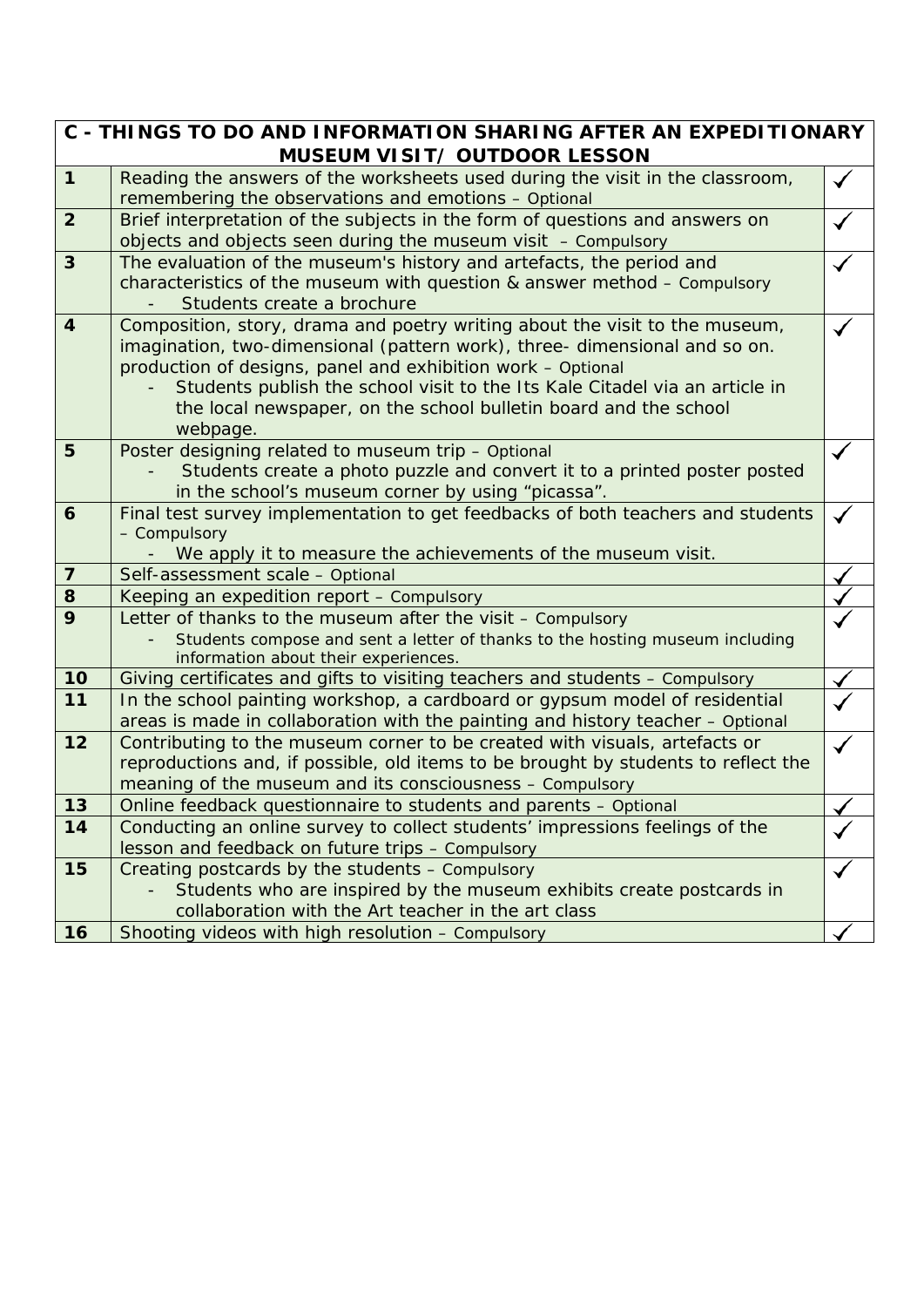| C - THINGS TO DO AND INFORMATION SHARING AFTER AN EXPEDITIONARY |                                                                                                                             |  |  |  |
|-----------------------------------------------------------------|-----------------------------------------------------------------------------------------------------------------------------|--|--|--|
| <b>MUSEUM VISIT/ OUTDOOR LESSON</b>                             |                                                                                                                             |  |  |  |
| $\mathbf{1}$                                                    | Reading the answers of the worksheets used during the visit in the classroom,                                               |  |  |  |
|                                                                 | remembering the observations and emotions - Optional                                                                        |  |  |  |
| $\overline{2}$                                                  | Brief interpretation of the subjects in the form of questions and answers on                                                |  |  |  |
|                                                                 | objects and objects seen during the museum visit $-$ Compulsory                                                             |  |  |  |
| 3                                                               | The evaluation of the museum's history and artefacts, the period and                                                        |  |  |  |
|                                                                 | characteristics of the museum with question & answer method $-$ Compulsory                                                  |  |  |  |
|                                                                 | Students create a brochure                                                                                                  |  |  |  |
| $\overline{4}$                                                  | Composition, story, drama and poetry writing about the visit to the museum,                                                 |  |  |  |
|                                                                 | imagination, two-dimensional (pattern work), three- dimensional and so on.                                                  |  |  |  |
|                                                                 | production of designs, panel and exhibition work - Optional                                                                 |  |  |  |
|                                                                 | Students publish the school visit to the Its Kale Citadel via an article in                                                 |  |  |  |
|                                                                 | the local newspaper, on the school bulletin board and the school                                                            |  |  |  |
| 5                                                               | webpage.<br>Poster designing related to museum trip - Optional                                                              |  |  |  |
|                                                                 | Students create a photo puzzle and convert it to a printed poster posted                                                    |  |  |  |
|                                                                 | in the school's museum corner by using "picassa".                                                                           |  |  |  |
| 6                                                               | Final test survey implementation to get feedbacks of both teachers and students                                             |  |  |  |
|                                                                 | - Compulsory                                                                                                                |  |  |  |
|                                                                 | We apply it to measure the achievements of the museum visit.                                                                |  |  |  |
| $\overline{\mathbf{z}}$                                         | Self-assessment scale - Optional                                                                                            |  |  |  |
| 8                                                               | Keeping an expedition report - Compulsory                                                                                   |  |  |  |
| 9                                                               | Letter of thanks to the museum after the visit - Compulsory                                                                 |  |  |  |
|                                                                 | Students compose and sent a letter of thanks to the hosting museum including                                                |  |  |  |
|                                                                 | information about their experiences.                                                                                        |  |  |  |
| 10                                                              | Giving certificates and gifts to visiting teachers and students - Compulsory                                                |  |  |  |
| 11                                                              | In the school painting workshop, a cardboard or gypsum model of residential                                                 |  |  |  |
|                                                                 | areas is made in collaboration with the painting and history teacher - Optional                                             |  |  |  |
| 12                                                              | Contributing to the museum corner to be created with visuals, artefacts or                                                  |  |  |  |
|                                                                 | reproductions and, if possible, old items to be brought by students to reflect the                                          |  |  |  |
|                                                                 | meaning of the museum and its consciousness - Compulsory                                                                    |  |  |  |
| 13                                                              | Online feedback questionnaire to students and parents - Optional                                                            |  |  |  |
| 14                                                              | Conducting an online survey to collect students' impressions feelings of the                                                |  |  |  |
|                                                                 | lesson and feedback on future trips - Compulsory                                                                            |  |  |  |
| 15                                                              | Creating postcards by the students - Compulsory                                                                             |  |  |  |
|                                                                 | Students who are inspired by the museum exhibits create postcards in<br>collaboration with the Art teacher in the art class |  |  |  |
| 16                                                              | Shooting videos with high resolution - Compulsory                                                                           |  |  |  |
|                                                                 |                                                                                                                             |  |  |  |